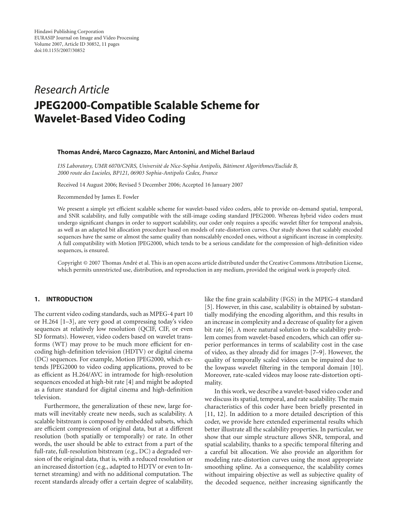# *Research Article* **JPEG2000-Compatible Scalable Scheme for Wavelet-Based Video Coding**

#### **Thomas Andre, Marco Cagnazzo, Marc Antonini, and Michel Barlaud ´**

*I3S Laboratory, UMR 6070/CNRS, Universit´e de Nice-Sophia Antipolis, Batiment Algorithmes/Euclide B, ˆ 2000 route des Lucioles, BP121, 06903 Sophia-Antipolis Cedex, France*

Received 14 August 2006; Revised 5 December 2006; Accepted 16 January 2007

Recommended by James E. Fowler

We present a simple yet efficient scalable scheme for wavelet-based video coders, able to provide on-demand spatial, temporal, and SNR scalability, and fully compatible with the still-image coding standard JPEG2000. Whereas hybrid video coders must undergo significant changes in order to support scalability, our coder only requires a specific wavelet filter for temporal analysis, as well as an adapted bit allocation procedure based on models of rate-distortion curves. Our study shows that scalably encoded sequences have the same or almost the same quality than nonscalably encoded ones, without a significant increase in complexity. A full compatibility with Motion JPEG2000, which tends to be a serious candidate for the compression of high-definition video sequences, is ensured.

Copyright © 2007 Thomas André et al. This is an open access article distributed under the Creative Commons Attribution License, which permits unrestricted use, distribution, and reproduction in any medium, provided the original work is properly cited.

#### **1. INTRODUCTION**

The current video coding standards, such as MPEG-4 part 10 or H.264 [\[1](#page-9-1)[–3](#page-9-2)], are very good at compressing today's video sequences at relatively low resolution (QCIF, CIF, or even SD formats). However, video coders based on wavelet transforms (WT) may prove to be much more efficient for encoding high-definition television (HDTV) or digital cinema (DC) sequences. For example, Motion JPEG2000, which extends JPEG2000 to video coding applications, proved to be as efficient as H.264/AVC in intramode for high-resolution sequences encoded at high-bit rate [\[4](#page-9-3)] and might be adopted as a future standard for digital cinema and high-definition television.

Furthermore, the generalization of these new, large formats will inevitably create new needs, such as scalability. A scalable bitstream is composed by embedded subsets, which are efficient compression of original data, but at a different resolution (both spatially or temporally) or rate. In other words, the user should be able to extract from a part of the full-rate, full-resolution bitstream (e.g., DC) a degraded version of the original data, that is, with a reduced resolution or an increased distortion (e.g., adapted to HDTV or even to Internet streaming) and with no additional computation. The recent standards already offer a certain degree of scalability,

like the fine grain scalability (FGS) in the MPEG-4 standard [\[5\]](#page-9-4). However, in this case, scalability is obtained by substantially modifying the encoding algorithm, and this results in an increase in complexity and a decrease of quality for a given bit rate [\[6](#page-9-5)]. A more natural solution to the scalability problem comes from wavelet-based encoders, which can offer superior performances in terms of scalability cost in the case of video, as they already did for images [\[7](#page-9-6)[–9\]](#page-9-7). However, the quality of temporally scaled videos can be impaired due to the lowpass wavelet filtering in the temporal domain [\[10](#page-9-8)]. Moreover, rate-scaled videos may loose rate-distortion optimality.

In this work, we describe a wavelet-based video coder and we discuss its spatial, temporal, and rate scalability. The main characteristics of this coder have been briefly presented in [\[11](#page-9-9), [12\]](#page-9-10). In addition to a more detailed description of this coder, we provide here extended experimental results which better illustrate all the scalability properties. In particular, we show that our simple structure allows SNR, temporal, and spatial scalability, thanks to a specific temporal filtering and a careful bit allocation. We also provide an algorithm for modeling rate-distortion curves using the most appropriate smoothing spline. As a consequence, the scalability comes without impairing objective as well as subjective quality of the decoded sequence, neither increasing significantly the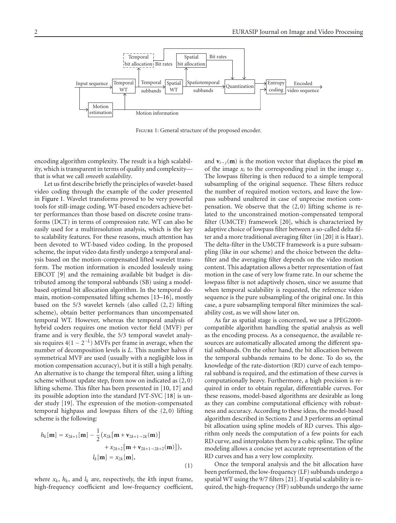

<span id="page-1-0"></span>FIGURE 1: General structure of the proposed encoder.

encoding algorithm complexity. The result is a high scalability, which is transparent in terms of quality and complexity that is what we call *smooth scalability*.

Let us first describe briefly the principles of wavelet-based video coding through the example of the coder presented in [Figure 1.](#page-1-0) Wavelet transforms proved to be very powerful tools for still-image coding. WT-based encoders achieve better performances than those based on discrete cosine transforms (DCT) in terms of compression rate. WT can also be easily used for a multiresolution analysis, which is the key to scalability features. For these reasons, much attention has been devoted to WT-based video coding. In the proposed scheme, the input video data firstly undergo a temporal analysis based on the motion-compensated lifted wavelet transform. The motion information is encoded losslessly using EBCOT [\[9\]](#page-9-7) and the remaining available bit budget is distributed among the temporal subbands (SB) using a modelbased optimal bit allocation algorithm. In the temporal domain, motion-compensated lifting schemes [\[13](#page-9-11)[–16](#page-9-12)], mostly based on the 5/3 wavelet kernels (also called (2, 2) lifting scheme), obtain better performances than uncompensated temporal WT. However, whereas the temporal analysis of hybrid coders requires one motion vector field (MVF) per frame and is very flexible, the 5/3 temporal wavelet analysis requires  $4(1 - 2^{-L})$  MVFs per frame in average, when the number of decomposition levels is *L*. This number halves if symmetrical MVF are used (usually with a negligible loss in motion compensation accuracy), but it is still a high penalty. An alternative is to change the temporal filter, using a lifting scheme without update step, from now on indicated as (2, 0) lifting scheme. This filter has been presented in [\[10](#page-9-8), [17\]](#page-9-13) and its possible adoption into the standard JVT-SVC [\[18](#page-9-14)] is under study [\[19](#page-9-15)]. The expression of the motion-compensated temporal highpass and lowpass filters of the (2, 0) lifting scheme is the following:

$$
h_k[\mathbf{m}] = x_{2k+1}[\mathbf{m}] - \frac{1}{2} (x_{2k}[\mathbf{m} + \mathbf{v}_{2k+1-2k}(\mathbf{m})]
$$
  
+  $x_{2k+2}[\mathbf{m} + \mathbf{v}_{2k+1-2k+2}(\mathbf{m})]),$   

$$
l_k[\mathbf{m}] = x_{2k}[\mathbf{m}],
$$
 (1)

where  $x_k$ ,  $h_k$ , and  $l_k$  are, respectively, the *k*th input frame, high-frequency coefficient and low-frequency coefficient, and  $\mathbf{v}_{i\rightarrow j}(\mathbf{m})$  is the motion vector that displaces the pixel **m** of the image  $x_i$  to the corresponding pixel in the image  $x_i$ . The lowpass filtering is then reduced to a simple temporal subsampling of the original sequence. These filters reduce the number of required motion vectors, and leave the lowpass subband unaltered in case of unprecise motion compensation. We observe that the (2, 0) lifting scheme is related to the unconstrained motion-compensated temporal filter (UMCTF) framework [\[20](#page-10-0)], which is characterized by adaptive choice of lowpass filter between a so-called delta filter and a more traditional averaging filter (in [\[20](#page-10-0)] it is Haar). The delta-filter in the UMCTF framework is a pure subsampling (like in our scheme) and the choice between the deltafilter and the averaging filter depends on the video motion content. This adaptation allows a better representation of fast motion in the case of very low frame rate. In our scheme the lowpass filter is not adaptively chosen, since we assume that when temporal scalability is requested, the reference video sequence is the pure subsampling of the original one. In this case, a pure subsampling temporal filter minimizes the scalability cost, as we will show later on.

As far as spatial stage is concerned, we use a JPEG2000 compatible algorithm handling the spatial analysis as well as the encoding process. As a consequence, the available resources are automatically allocated among the different spatial subbands. On the other hand, the bit allocation between the temporal subbands remains to be done. To do so, the knowledge of the rate-distortion (RD) curve of each temporal subband is required, and the estimation of these curves is computationally heavy. Furthermore, a high precision is required in order to obtain regular, differentiable curves. For these reasons, model-based algorithms are desirable as long as they can combine computational efficiency with robustness and accuracy. According to these ideas, the model-based algorithm described in Sections [2](#page-2-0) and [3](#page-3-0) performs an optimal bit allocation using spline models of RD curves. This algorithm only needs the computation of a few points for each RD curve, and interpolates them by a cubic spline. The spline modeling allows a concise yet accurate representation of the RD curves and has a very low complexity.

Once the temporal analysis and the bit allocation have been performed, the low-frequency (LF) subbands undergo a spatial WT using the 9*/*7 filters [\[21\]](#page-10-1). If spatial scalability is required, the high-frequency (HF) subbands undergo the same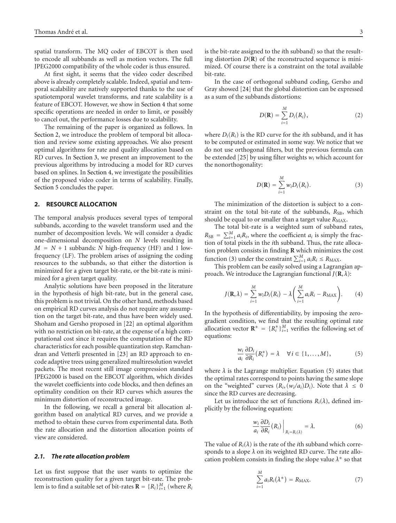spatial transform. The MQ coder of EBCOT is then used to encode all subbands as well as motion vectors. The full JPEG2000 compatibility of the whole coder is thus ensured.

At first sight, it seems that the video coder described above is already completely scalable. Indeed, spatial and temporal scalability are natively supported thanks to the use of spatiotemporal wavelet transforms, and rate scalability is a feature of EBCOT. However, we show in [Section 4](#page-5-0) that some specific operations are needed in order to limit, or possibly to cancel out, the performance losses due to scalability.

The remaining of the paper is organized as follows. In [Section 2,](#page-2-0) we introduce the problem of temporal bit allocation and review some existing approaches. We also present optimal algorithms for rate and quality allocation based on RD curves. In [Section 3,](#page-3-0) we present an improvement to the previous algorithms by introducing a model for RD curves based on splines. In [Section 4,](#page-5-0) we investigate the possibilities of the proposed video coder in terms of scalability. Finally, [Section 5](#page-8-0) concludes the paper.

#### <span id="page-2-0"></span>**2. RESOURCE ALLOCATION**

The temporal analysis produces several types of temporal subbands, according to the wavelet transform used and the number of decomposition levels. We will consider a dyadic one-dimensional decomposition on *N* levels resulting in  $M = N + 1$  subbands: *N* high-frequency (HF) and 1 lowfrequency (LF). The problem arises of assigning the coding resources to the subbands, so that either the distortion is minimized for a given target bit-rate, or the bit-rate is minimized for a given target quality.

Analytic solutions have been proposed in the literature in the hypothesis of high bit-rate, but in the general case, this problem is not trivial. On the other hand, methods based on empirical RD curves analysis do not require any assumption on the target bit-rate, and thus have been widely used. Shoham and Gersho proposed in [\[22](#page-10-2)] an optimal algorithm with no restriction on bit-rate, at the expense of a high computational cost since it requires the computation of the RD characteristics for each possible quantization step. Ramchandran and Vetterli presented in [\[23\]](#page-10-3) an RD approach to encode adaptive trees using generalized multiresolution wavelet packets. The most recent still image compression standard JPEG2000 is based on the EBCOT algorithm, which divides the wavelet coefficients into code blocks, and then defines an optimality condition on their RD curves which assures the minimum distortion of reconstructed image.

In the following, we recall a general bit allocation algorithm based on analytical RD curves, and we provide a method to obtain these curves from experimental data. Both the rate allocation and the distortion allocation points of view are considered.

#### *2.1. The rate allocation problem*

Let us first suppose that the user wants to optimize the reconstruction quality for a given target bit-rate. The problem is to find a suitable set of bit-rates  $\mathbf{R} = \{R_i\}_{i=1}^M$  (where  $R_i$ 

is the bit-rate assigned to the *i*th subband) so that the resulting distortion  $D(\mathbf{R})$  of the reconstructed sequence is minimized. Of course there is a constraint on the total available bit-rate.

In the case of orthogonal subband coding, Gersho and Gray showed [\[24](#page-10-4)] that the global distortion can be expressed as a sum of the subbands distortions:

$$
D(\mathbf{R}) = \sum_{i=1}^{M} D_i(R_i), \qquad (2)
$$

where  $D_i(R_i)$  is the RD curve for the *i*th subband, and it has to be computed or estimated in some way. We notice that we do not use orthogonal filters, but the previous formula can be extended [\[25](#page-10-5)] by using filter weights *wi* which account for the nonorthogonality:

<span id="page-2-1"></span>
$$
D(\mathbf{R}) = \sum_{i=1}^{M} w_i D_i(R_i).
$$
 (3)

The minimization of the distortion is subject to a constraint on the total bit-rate of the subbands,  $R_{SB}$ , which should be equal to or smaller than a target value  $R_{MAX}$ .

The total bit-rate is a weighted sum of subband rates,  $R_{SB} = \sum_{i=1}^{M} a_i R_i$ , where the coefficient *a<sub>i</sub>* is simply the fraction of total pixels in the *i*th subband. Thus, the rate allocation problem consists in finding **R** which minimizes the cost function [\(3\)](#page-2-1) under the constraint  $\sum_{i=1}^{M} a_i R_i \leq R_{\text{MAX}}$ .

This problem can be easily solved using a Lagrangian approach. We introduce the Lagrangian functional  $J(\mathbf{R}, \lambda)$ :

$$
J(\mathbf{R},\lambda)=\sum_{i=1}^M w_i D_i(R_i)-\lambda\bigg(\sum_{i=1}^M a_iR_i-R_{\text{MAX}}\bigg). \qquad (4)
$$

In the hypothesis of differentiability, by imposing the zerogradient condition, we find that the resulting optimal rate allocation vector  $\mathbf{R}^* = \{R_i^*\}_{i=1}^M$  verifies the following set of equations:

<span id="page-2-2"></span>
$$
\frac{w_i}{a_i} \frac{\partial D_i}{\partial R_i}(R_i^*) = \lambda \quad \forall i \in \{1, ..., M\},\tag{5}
$$

where  $\lambda$  is the Lagrange multiplier. Equation [\(5\)](#page-2-2) states that the optimal rates correspond to points having the same slope on the "weighted" curves  $(R_i, (w_i/a_i)D_i)$ . Note that  $\lambda \leq 0$ since the RD curves are decreasing.

Let us introduce the set of functions  $R_i(\lambda)$ , defined implicitly by the following equation:

$$
\frac{w_i}{a_i} \frac{\partial D_i}{\partial R_i}(R_i) \Big|_{R_i = R_i(\lambda)} = \lambda.
$$
 (6)

The value of  $R_i(\lambda)$  is the rate of the *i*th subband which corresponds to a slope  $\lambda$  on its weighted RD curve. The rate allocation problem consists in finding the slope value  $\lambda^*$  so that

$$
\sum_{i=1}^{M} a_i R_i(\lambda^*) = R_{\text{MAX}}.\tag{7}
$$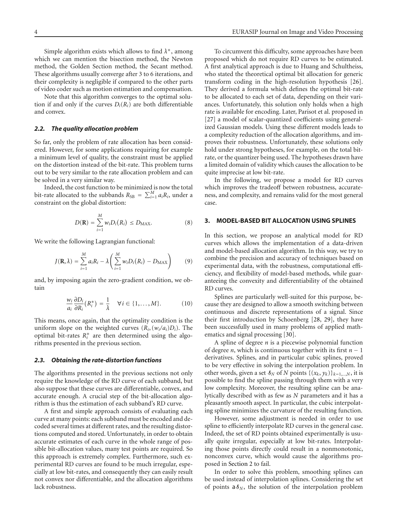Simple algorithm exists which allows to find *λ*∗, among which we can mention the bisection method, the Newton method, the Golden Section method, the Secant method. These algorithms usually converge after 3 to 6 iterations, and their complexity is negligible if compared to the other parts of video coder such as motion estimation and compensation.

Note that this algorithm converges to the optimal solution if and only if the curves  $D_i(R_i)$  are both differentiable and convex.

#### *2.2. The quality allocation problem*

So far, only the problem of rate allocation has been considered. However, for some applications requiring for example a minimum level of quality, the constraint must be applied on the distortion instead of the bit-rate. This problem turns out to be very similar to the rate allocation problem and can be solved in a very similar way.

Indeed, the cost function to be minimized is now the total bit-rate allocated to the subbands  $R_{SB} = \sum_{i=1}^{M} a_i R_i$ , under a constraint on the global distortion:

$$
D(\mathbf{R}) = \sum_{i=1}^{M} w_i D_i(R_i) \leq D_{\text{MAX}}.\tag{8}
$$

We write the following Lagrangian functional:

$$
J(\mathbf{R},\lambda) = \sum_{i=1}^{M} a_i R_i - \lambda \left( \sum_{i=1}^{M} w_i D_i(R_i) - D_{\text{MAX}} \right)
$$
 (9)

and, by imposing again the zero-gradient condition, we obtain

$$
\frac{w_i}{a_i} \frac{\partial D_i}{\partial R_i}(R_i^*) = \frac{1}{\lambda} \quad \forall i \in \{1, \dots, M\}.
$$
 (10)

This means, once again, that the optimality condition is the uniform slope on the weighted curves  $(R_i, (w_i/a_i)D_i)$ . The optimal bit-rates  $R_i^*$  are then determined using the algorithms presented in the previous section.

#### *2.3. Obtaining the rate-distortion functions*

The algorithms presented in the previous sections not only require the knowledge of the RD curve of each subband, but also suppose that these curves are differentiable, convex, and accurate enough. A crucial step of the bit-allocation algorithm is thus the estimation of each subband's RD curve.

A first and simple approach consists of evaluating each curve at many points: each subband must be encoded and decoded several times at different rates, and the resulting distortions computed and stored. Unfortunately, in order to obtain accurate estimates of each curve in the whole range of possible bit-allocation values, many test points are required. So this approach is extremely complex. Furthermore, such experimental RD curves are found to be much irregular, especially at low bit-rates, and consequently they can easily result not convex nor differentiable, and the allocation algorithms lack robustness.

To circumvent this difficulty, some approaches have been proposed which do not require RD curves to be estimated. A first analytical approach is due to Huang and Schultheiss, who stated the theoretical optimal bit allocation for generic transform coding in the high-resolution hypothesis [\[26](#page-10-6)]. They derived a formula which defines the optimal bit-rate to be allocated to each set of data, depending on their variances. Unfortunately, this solution only holds when a high rate is available for encoding. Later, Parisot et al. proposed in [\[27](#page-10-7)] a model of scalar-quantized coefficients using generalized Gaussian models. Using these different models leads to a complexity reduction of the allocation algorithms, and improves their robustness. Unfortunately, these solutions only hold under strong hypotheses, for example, on the total bitrate, or the quantizer being used. The hypotheses drawn have a limited domain of validity which causes the allocation to be quite imprecise at low bit-rate.

In the following, we propose a model for RD curves which improves the tradeoff between robustness, accurateness, and complexity, and remains valid for the most general case.

#### <span id="page-3-0"></span>**3. MODEL-BASED BIT ALLOCATION USING SPLINES**

In this section, we propose an analytical model for RD curves which allows the implementation of a data-driven and model-based allocation algorithm. In this way, we try to combine the precision and accuracy of techniques based on experimental data, with the robustness, computational efficiency, and flexibility of model-based methods, while guaranteeing the convexity and differentiability of the obtained RD curves.

Splines are particularly well-suited for this purpose, because they are designed to allow a smooth switching between continuous and discrete representations of a signal. Since their first introduction by Schoenberg [\[28,](#page-10-8) [29\]](#page-10-9), they have been successfully used in many problems of applied mathematics and signal processing [\[30\]](#page-10-10).

A spline of degree *n* is a piecewise polynomial function of degree *<sup>n</sup>*, which is continuous together with its first *<sup>n</sup>* <sup>−</sup> <sup>1</sup> derivatives. Splines, and in particular cubic splines, proved to be very effective in solving the interpolation problem. In other words, given a set  $\mathcal{S}_N$  of *N* points  $\{(x_k, y_k)\}_{k=1,\dots,N}$ , it is possible to find the spline passing through them with a very low complexity. Moreover, the resulting spline can be analytically described with as few as *N* parameters and it has a pleasantly smooth aspect. In particular, the cubic interpolating spline minimizes the curvature of the resulting function.

However, some adjustment is needed in order to use spline to efficiently interpolate RD curves in the general case. Indeed, the set of RD points obtained experimentally is usually quite irregular, especially at low bit-rates. Interpolating those points directly could result in a nonmonotonic, nonconvex curve, which would cause the algorithms proposed in [Section 2](#page-2-0) to fail.

In order to solve this problem, smoothing splines can be used instead of interpolation splines. Considering the set of points  $a\delta_N$ , the solution of the interpolation problem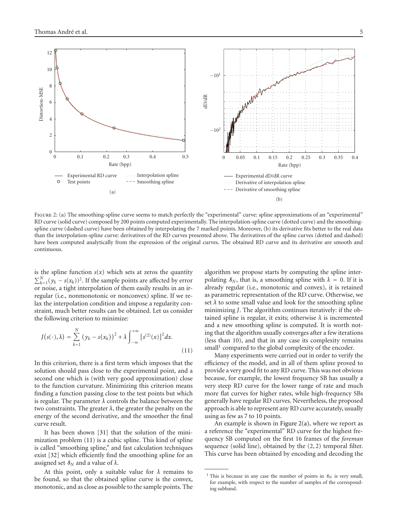<span id="page-4-2"></span><span id="page-4-1"></span>

FIGURE 2: (a) The smoothing-spline curve seems to match perfectly the "experimental" curve: spline approximations of an "experimental" RD curve (solid curve) composed by 200 points computed experimentally. The interpolation-spline curve (dotted curve) and the smoothingspline curve (dashed curve) have been obtained by interpolating the 7 marked points. Moreover, (b) its derivative fits better to the real data than the interpolation-spline curve: derivatives of the RD curves presented above. The derivatives of the spline curves (dotted and dashed) have been computed analytically from the expression of the original curves. The obtained RD curve and its derivative are smooth and continuous.

is the spline function  $s(x)$  which sets at zeros the quantity  $\sum_{k=1}^{N} (y_k - s(x_k))^2$ . If the sample points are affected by error or noise, a tight interpolation of them easily results in an irregular (i.e., nonmonotonic or nonconvex) spline. If we relax the interpolation condition and impose a regularity constraint, much better results can be obtained. Let us consider the following criterion to minimize:

$$
J(s(\cdot),\lambda) = \sum_{k=1}^{N} (y_k - s(x_k))^2 + \lambda \int_{-\infty}^{+\infty} [s^{(2)}(x)]^2 dx.
$$
 (11)

In this criterion, there is a first term which imposes that the solution should pass close to the experimental point, and a second one which is (with very good approximation) close to the function curvature. Minimizing this criterion means finding a function passing close to the test points but which is regular. The parameter  $\lambda$  controls the balance between the two constraints. The greater  $\lambda$ , the greater the penalty on the energy of the second derivative, and the smoother the final curve result.

It has been shown [\[31\]](#page-10-11) that the solution of the minimization problem [\(11\)](#page-4-0) is a cubic spline. This kind of spline is called "smoothing spline," and fast calculation techniques exist [\[32](#page-10-12)] which efficiently find the smoothing spline for an assigned set  $\mathcal{S}_N$  and a value of  $\lambda$ .

At this point, only a suitable value for  $\lambda$  remains to be found, so that the obtained spline curve is the convex, monotonic, and as close as possible to the sample points. The algorithm we propose starts by computing the spline interpolating  $\delta_N$ , that is, a smoothing spline with  $\lambda = 0$ . If it is already regular (i.e., monotonic and convex), it is retained as parametric representation of the RD curve. Otherwise, we set  $\lambda$  to some small value and look for the smoothing spline minimizing *J*. The algorithm continues iteratively: if the obtained spline is regular, it exits; otherwise  $\lambda$  is incremented and a new smoothing spline is computed. It is worth noting that the algorithm usually converges after a few iterations (less than 10), and that in any case its complexity remains small<sup>1</sup> compared to the global complexity of the encoder.

<span id="page-4-0"></span>Many experiments were carried out in order to verify the efficiency of the model, and in all of them spline proved to provide a very good fit to any RD curve. This was not obvious because, for example, the lowest frequency SB has usually a very steep RD curve for the lower range of rate and much more flat curves for higher rates, while high-frequency SBs generally have regular RD curves. Nevertheless, the proposed approach is able to represent any RD curve accurately, usually using as few as 7 to 10 points.

An example is shown in Figure  $2(a)$ , where we report as a reference the "experimental" RD curve for the highest frequency SB computed on the first 16 frames of the *foreman* sequence (solid line), obtained by the (2, 2) temporal filter. This curve has been obtained by encoding and decoding the

<sup>&</sup>lt;sup>1</sup> This is because in any case the number of points in  $\delta_N$  is very small, for example, with respect to the number of samples of the corresponding subband.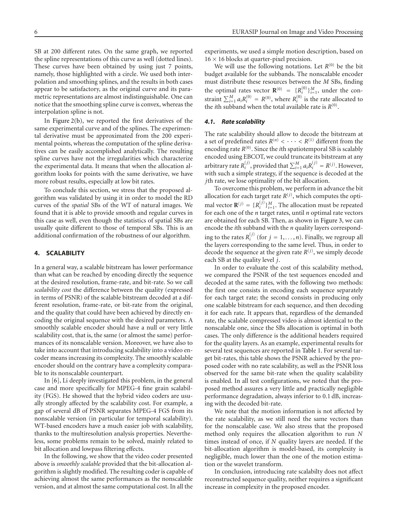SB at 200 different rates. On the same graph, we reported the spline representations of this curve as well (dotted lines). These curves have been obtained by using just 7 points, namely, those highlighted with a circle. We used both interpolation and smoothing splines, and the results in both cases appear to be satisfactory, as the original curve and its parametric representations are almost indistinguishable. One can notice that the smoothing spline curve is convex, whereas the interpolation spline is not.

In [Figure 2\(b\),](#page-4-2) we reported the first derivatives of the same experimental curve and of the splines. The experimental derivative must be approximated from the 200 experimental points, whereas the computation of the spline derivatives can be easily accomplished analytically. The resulting spline curves have not the irregularities which characterize the experimental data. It means that when the allocation algorithm looks for points with the same derivative, we have more robust results, especially at low bit rates.

To conclude this section, we stress that the proposed algorithm was validated by using it in order to model the RD curves of the *spatial* SBs of the WT of natural images. We found that it is able to provide smooth and regular curves in this case as well, even though the statistics of spatial SBs are usually quite different to those of temporal SBs. This is an additional confirmation of the robustness of our algorithm.

#### <span id="page-5-0"></span>**4. SCALABILITY**

In a general way, a scalable bitstream has lower performance than what can be reached by encoding directly the sequence at the desired resolution, frame-rate, and bit-rate. So we call *scalability cost* the difference between the quality (expressed in terms of PSNR) of the scalable bitstream decoded at a different resolution, frame-rate, or bit-rate from the original, and the quality that could have been achieved by directly encoding the original sequence with the desired parameters. A smoothly scalable encoder should have a null or very little scalability cost, that is, the same (or almost the same) performances of its nonscalable version. Moreover, we have also to take into account that introducing scalability into a video encoder means increasing its complexity. The smoothly scalable encoder should on the contrary have a complexity comparable to its nonscalable counterpart.

In [\[6](#page-9-5)], Li deeply investigated this problem, in the general case and more specifically for MPEG-4 fine grain scalability (FGS). He showed that the hybrid video coders are usually strongly affected by the scalability cost. For example, a gap of several dB of PSNR separates MPEG-4 FGS from its nonscalable version (in particular for temporal scalability). WT-based encoders have a much easier job with scalability, thanks to the multiresolution analysis properties. Nevertheless, some problems remain to be solved, mainly related to bit allocation and lowpass filtering effects.

In the following, we show that the video coder presented above is *smoothly scalable* provided that the bit-allocation algorithm is slightly modified. The resulting coder is capable of achieving almost the same performances as the nonscalable version, and at almost the same computational cost. In all the

experiments, we used a simple motion description, based on  $16 \times 16$  blocks at quarter-pixel precision.

We will use the following notations. Let  $R^{(0)}$  be the bit budget available for the subbands. The nonscalable encoder must distribute these resources between the *M* SBs, finding the optimal rates vector  $\mathbf{R}^{(0)} = \{R_i^{(0)}\}_{i=1}^M$ , under the constraint  $\sum_{i=1}^{M} a_i R_i^{(0)} = R^{(0)}$ , where  $R_i^{(0)}$  is the rate allocated to the *i*th subband when the total available rate is  $R^{(0)}$ .

#### *4.1. Rate scalability*

The rate scalability should allow to decode the bitstream at a set of predefined rates  $R^{(n)} < \cdots < R^{(1)}$  different from the encoding rate  $R^{(0)}$ . Since the *i*th spatiotemporal SB is scalably encoded using EBCOT, we could truncate its bitstream at any arbitrary rate  $R_i^{(j)}$ , provided that  $\sum_{i=1}^{M} a_i R_i^{(j)} = R^{(j)}$ . However, with such a simple strategy, if the sequence is decoded at the *j*th rate, we lose optimality of the bit allocation.

To overcome this problem, we perform in advance the bit allocation for each target rate  $R^{(j)}$ , which computes the optimal vector  $\mathbf{R}^{(j)} = \{R_i^{(j)}\}_{i=1}^M$ . The allocation must be repeated for each one of the *n* target rates, until *n* optimal rate vectors are obtained for each SB. Then, as shown in [Figure 3,](#page-6-0) we can encode the *i*th subband with the *n* quality layers corresponding to the rates  $R_i^{(j)}$  (for  $j = 1, ..., n$ ). Finally, we regroup all the layers corresponding to the same level. Thus, in order to decode the sequence at the given rate  $R^{(j)}$ , we simply decode each SB at the quality level *j*.

In order to evaluate the cost of this scalability method, we compared the PSNR of the test sequences encoded and decoded at the same rates, with the following two methods: the first one consists in encoding each sequence separately for each target rate; the second consists in producing only one scalable bitstream for each sequence, and then decoding it for each rate. It appears that, regardless of the demanded rate, the scalable compressed video is almost identical to the nonscalable one, since the SBs allocation is optimal in both cases. The only difference is the additional headers required for the quality layers. As an example, experimental results for several test sequences are reported in [Table 1.](#page-6-1) For several target bit-rates, this table shows the PSNR achieved by the proposed coder with no rate scalability, as well as the PSNR loss observed for the same bit-rate when the quality scalability is enabled. In all test configurations, we noted that the proposed method assures a very little and practically negligible performance degradation, always inferior to 0.1 dB, increasing with the decoded bit-rate.

We note that the motion information is not affected by the rate scalability, as we still need the same vectors than for the nonscalable case. We also stress that the proposed method only requires the allocation algorithm to run *N* times instead of once, if *N* quality layers are needed. If the bit-allocation algorithm is model-based, its complexity is negligible, much lower than the one of the motion estimation or the wavelet transform.

In conclusion, introducing rate scalabilty does not affect reconstructed sequence quality, neither requires a significant increase in complexity in the proposed encoder.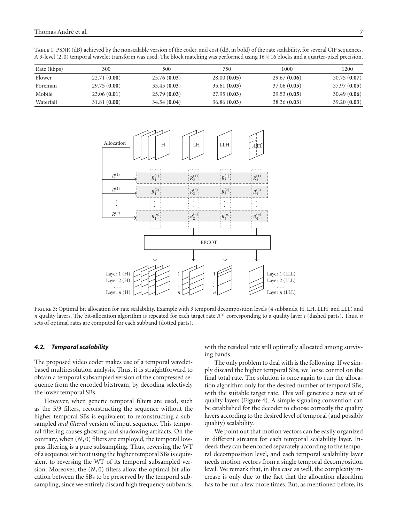<span id="page-6-1"></span>

| TABLE 1: PSNR (dB) achieved by the nonscalable version of the coder, and cost (dB, in bold) of the rate scalability, for several CIF sequences. |  |  |
|-------------------------------------------------------------------------------------------------------------------------------------------------|--|--|
| A 3-level (2,0) temporal wavelet transform was used. The block matching was performed using 16 × 16 blocks and a quarter-pixel precision.       |  |  |

| Rate (kbps) | 300         | 500         | 750         | 1000        | 1200        |
|-------------|-------------|-------------|-------------|-------------|-------------|
| Flower      | 22.71(0.00) | 25.76(0.03) | 28.00(0.05) | 29.67(0.06) | 30.75(0.07) |
| Foreman     | 29.75(0.00) | 33.45(0.03) | 35.61(0.03) | 37.06(0.05) | 37.97(0.05) |
| Mobile      | 23.06(0.01) | 25.79(0.03) | 27.95(0.03) | 29.53(0.05) | 30.49(0.06) |
| Waterfall   | 31.81(0.00) | 34.54(0.04) | 36.86(0.03) | 38.36(0.03) | 39.20(0.03) |



<span id="page-6-0"></span>Figure 3: Optimal bit allocation for rate scalability. Example with 3 temporal decomposition levels (4 subbands, H, LH, LLH, and LLL) and *n* quality layers. The bit-allocation algorithm is repeated for each target rate *R*(*i*) corresponding to a quality layer *i* (dashed parts). Thus, *n* sets of optimal rates are computed for each subband (dotted parts).

## *4.2. Temporal scalability*

The proposed video coder makes use of a temporal waveletbased multiresolution analysis. Thus, it is straightforward to obtain a temporal subsampled version of the compressed sequence from the encoded bitstream, by decoding selectively the lower temporal SBs.

However, when generic temporal filters are used, such as the 5/3 filters, reconstructing the sequence without the higher temporal SBs is equivalent to reconstructing a subsampled *and filtered* version of input sequence. This temporal filtering causes ghosting and shadowing artifacts. On the contrary, when (*N*, 0) filters are employed, the temporal lowpass filtering is a pure subsampling. Thus, reversing the WT of a sequence without using the higher temporal SBs is equivalent to reversing the WT of its temporal subsampled version. Moreover, the (*N*, 0) filters allow the optimal bit allocation between the SBs to be preserved by the temporal subsampling, since we entirely discard high frequency subbands,

with the residual rate still optimally allocated among surviving bands.

The only problem to deal with is the following. If we simply discard the higher temporal SBs, we loose control on the final total rate. The solution is once again to run the allocation algorithm only for the desired number of temporal SBs, with the suitable target rate. This will generate a new set of quality layers [\(Figure 4\)](#page-7-0). A simple signaling convention can be established for the decoder to choose correctly the quality layers according to the desired level of temporal (and possibly quality) scalability.

We point out that motion vectors can be easily organized in different streams for each temporal scalability layer. Indeed, they can be encoded separately according to the temporal decomposition level, and each temporal scalability layer needs motion vectors from a single temporal decomposition level. We remark that, in this case as well, the complexity increase is only due to the fact that the allocation algorithm has to be run a few more times. But, as mentioned before, its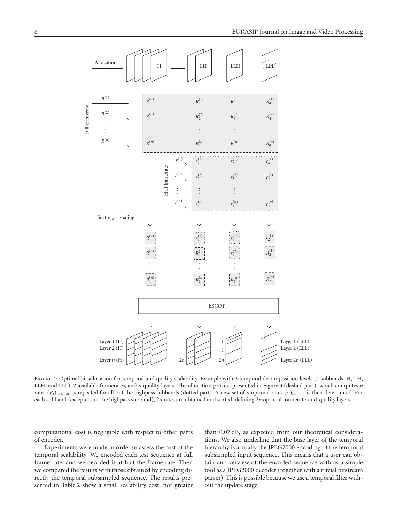

<span id="page-7-0"></span>FIGURE 4: Optimal bit allocation for temporal and quality scalability. Example with 3 temporal decomposition levels (4 subbands, H, LH, LLH, and LLL), 2 available framerates, and *n* quality layers. The allocation process presented in [Figure 3](#page-6-0) (dashed part), which computes *n* rates  $(R_i)_{i=1,\dots,n}$ , is repeated for all but the highpass subbands (dotted part). A new set of *n* optimal rates  $(r_i)_{i=1,\dots,n}$  is then determined. For each subband (excepted for the highpass subband), 2*n* rates are obtained and sorted, defining 2*n* optimal framerate-and-quality layers.

computational cost is negligible with respect to other parts of encoder.

Experiments were made in order to assess the cost of the temporal scalability. We encoded each test sequence at full frame rate, and we decoded it at half the frame rate. Then we compared the results with those obtained by encoding directly the temporal subsampled sequence. The results presented in [Table 2](#page-8-1) show a small scalability cost, not greater

than 0.07 dB, as expected from our theoretical considerations. We also underline that the base layer of the temporal hierarchy is actually the JPEG2000 encoding of the temporal subsampled input sequence. This means that a user can obtain an overview of the encoded sequence with as a simple tool as a JPEG2000 decoder (together with a trivial bitstream parser). This is possible because we use a temporal filter without the update stage.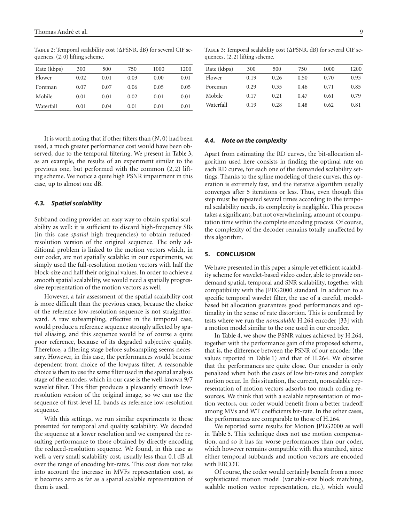| Rate (kbps) | 300  | 500  | 750  | 1000 | 1200 |
|-------------|------|------|------|------|------|
| Flower      | 0.02 | 0.01 | 0.03 | 0.00 | 0.01 |
| Foreman     | 0.07 | 0.07 | 0.06 | 0.05 | 0.05 |
| Mobile      | 0.01 | 0.01 | 0.02 | 0.01 | 0.01 |
| Waterfall   | 0.01 | 0.04 | 0.01 | 0.01 | 0.01 |

<span id="page-8-1"></span>Table 2: Temporal scalability cost (ΔPSNR, dB) for several CIF sequences, (2, 0) lifting scheme.

It is worth noting that if other filters than (*N*, 0) had been used, a much greater performance cost would have been observed, due to the temporal filtering. We present in [Table 3,](#page-8-2) as an example, the results of an experiment similar to the previous one, but performed with the common (2, 2) lifting scheme. We notice a quite high PSNR impairment in this case, up to almost one dB.

#### *4.3. Spatial scalability*

Subband coding provides an easy way to obtain spatial scalability as well: it is sufficient to discard high-frequency SBs (in this case *spatial* high frequencies) to obtain reducedresolution version of the original sequence. The only additional problem is linked to the motion vectors which, in our coder, are not spatially scalable: in our experiments, we simply used the full-resolution motion vectors with half the block-size and half their original values. In order to achieve a smooth spatial scalability, we would need a spatially progressive representation of the motion vectors as well.

However, a fair assessment of the spatial scalability cost is more difficult than the previous cases, because the choice of the reference low-resolution sequence is not straightforward. A raw subsampling, effective in the temporal case, would produce a reference sequence strongly affected by spatial aliasing, and this sequence would be of course a quite poor reference, because of its degraded subjective quality. Therefore, a filtering stage before subsampling seems necessary. However, in this case, the performances would become dependent from choice of the lowpass filter. A reasonable choice is then to use the same filter used in the spatial analysis stage of the encoder, which in our case is the well-known 9*/*7 wavelet filter. This filter produces a pleasantly smooth lowresolution version of the original image, so we can use the sequence of first-level LL bands as reference low-resolution sequence.

With this settings, we run similar experiments to those presented for temporal and quality scalability. We decoded the sequence at a lower resolution and we compared the resulting performance to those obtained by directly encoding the reduced-resolution sequence. We found, in this case as well, a very small scalability cost, usually less than 0.1 dB all over the range of encoding bit-rates. This cost does not take into account the increase in MVFs representation cost, as it becomes zero as far as a spatial scalable representation of them is used.

<span id="page-8-2"></span>Table 3: Temporal scalability cost (ΔPSNR, dB) for several CIF sequences, (2, 2) lifting scheme.

| Rate (kbps) | 300  | 500  | 750  | 1000 | 1200 |
|-------------|------|------|------|------|------|
| Flower      | 0.19 | 0.26 | 0.50 | 0.70 | 0.93 |
| Foreman     | 0.29 | 0.35 | 0.46 | 0.71 | 0.85 |
| Mobile      | 0.17 | 0.21 | 0.47 | 0.61 | 0.79 |
| Waterfall   | 0.19 | 0.28 | 0.48 | 0.62 | 0.81 |

## *4.4. Note on the complexity*

Apart from estimating the RD curves, the bit-allocation algorithm used here consists in finding the optimal rate on each RD curve, for each one of the demanded scalability settings. Thanks to the spline modeling of these curves, this operation is extremely fast, and the iterative algorithm usually converges after 5 iterations or less. Thus, even though this step must be repeated several times according to the temporal scalability needs, its complexity is negligible. This process takes a significant, but not overwhelming, amount of computation time within the complete encoding process. Of course, the complexity of the decoder remains totally unaffected by this algorithm.

## <span id="page-8-0"></span>**5. CONCLUSION**

We have presented in this paper a simple yet efficient scalability scheme for wavelet-based video coder, able to provide ondemand spatial, temporal and SNR scalability, together with compatibility with the JPEG2000 standard. In addition to a specific temporal wavelet filter, the use of a careful, modelbased bit allocation guarantees good performances and optimality in the sense of rate distortion. This is confirmed by tests where we run the *nonscalable* H.264 encoder [\[33\]](#page-10-13) with a motion model similar to the one used in our encoder.

In [Table 4,](#page-9-16) we show the PSNR values achieved by H.264, together with the performance gain of the proposed scheme, that is, the difference between the PSNR of our encoder (the values reported in [Table 1\)](#page-6-1) and that of H.264. We observe that the performances are quite close. Our encoder is only penalized when both the cases of low bit-rates and complex motion occur. In this situation, the current, nonscalable representation of motion vectors adsorbs too much coding resources. We think that with a scalable representation of motion vectors, our coder would benefit from a better tradeoff among MVs and WT coefficients bit-rate. In the other cases, the performances are comparable to those of H.264.

We reported some results for Motion JPEG2000 as well in [Table 5.](#page-9-17) This technique does not use motion compensation, and so it has far worse performances than our coder, which however remains compatible with this standard, since either temporal subbands and motion vectors are encoded with EBCOT.

Of course, the coder would certainly benefit from a more sophisticated motion model (variable-size block matching, scalable motion vector representation, etc.), which would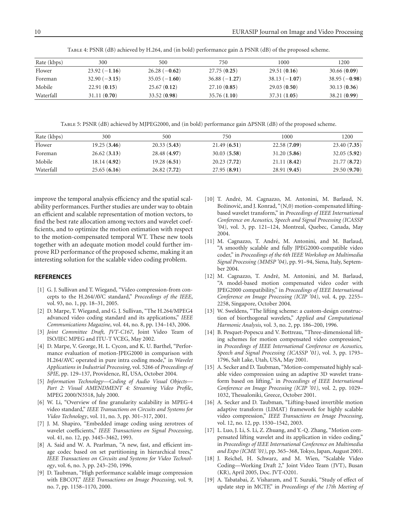Table 4: PSNR (dB) achieved by H.264, and (in bold) performance gain Δ PSNR (dB) of the proposed scheme.

<span id="page-9-16"></span>

| Rate (kbps) | 300            | 500            | 750            | 1000           | 1200           |
|-------------|----------------|----------------|----------------|----------------|----------------|
| Flower      | $23.92(-1.16)$ | $26.28(-0.62)$ | 27.75(0.25)    | 29.51(0.16)    | 30.66(0.09)    |
| Foreman     | $32.90(-3.15)$ | $35.05(-1.60)$ | $36.88(-1.27)$ | $38.13(-1.07)$ | $38.95(-0.98)$ |
| Mobile      | 22.91(0.15)    | 25.67(0.12)    | 27.10(0.85)    | 29.03(0.50)    | 30.13(0.36)    |
| Waterfall   | 31.11(0.70)    | 33.52 (0.98)   | 35.76(1.10)    | 37.31(1.05)    | 38.21(0.99)    |

Table 5: PSNR (dB) achieved by MJPEG2000, and (in bold) performance gain ΔPSNR (dB) of the proposed scheme.

<span id="page-9-17"></span>

| Rate (kbps) | 300         | 500          | 750         | 1000         | 1200        |
|-------------|-------------|--------------|-------------|--------------|-------------|
| Flower      | 19.25(3.46) | 20.33(5.43)  | 21.49(6.51) | 22.58(7.09)  | 23.40(7.35) |
| Foreman     | 26.62(3.13) | 28.48 (4.97) | 30.03(5.58) | 31.20(5.86)  | 32.05(5.92) |
| Mobile      | 18.14(4.92) | 19.28(6.51)  | 20.23(7.72) | 21.11(8.42)  | 21.77(8.72) |
| Waterfall   | 25.65(6.16) | 26.82(7.72)  | 27.95(8.91) | 28.91 (9.45) | 29.50(9.70) |

improve the temporal analysis efficiency and the spatial scalability performances. Further studies are under way to obtain an efficient and scalable representation of motion vectors, to find the best rate allocation among vectors and wavelet coefficients, and to optimize the motion estimation with respect to the motion-compensated temporal WT. These new tools together with an adequate motion model could further improve RD performance of the proposed scheme, making it an interesting solution for the scalable video coding problem.

## <span id="page-9-1"></span><span id="page-9-0"></span>**REFERENCES**

- [1] G. J. Sullivan and T. Wiegand, "Video compression-from concepts to the H.264/AVC standard," *Proceedings of the IEEE*, vol. 93, no. 1, pp. 18–31, 2005.
- [2] D. Marpe, T. Wiegand, and G. J. Sullivan, "The H.264/MPEG4 advanced video coding standard and its applications," *IEEE Communications Magazine*, vol. 44, no. 8, pp. 134–143, 2006.
- <span id="page-9-2"></span>[3] *Joint Committee Draft, JVT-C167*, Joint Video Team of ISO/IEC MPEG and ITU-T VCEG, May 2002.
- <span id="page-9-3"></span>[4] D. Marpe, V. George, H. L. Cycon, and K. U. Barthel, "Performance evaluation of motion-JPEG2000 in comparison with H.264/AVC operated in pure intra coding mode," in *Wavelet Applications in Industrial Processing*, vol. 5266 of *Proceedings of SPIE*, pp. 129–137, Providence, RI, USA, October 2004.
- <span id="page-9-4"></span>[5] *Information Technology—Coding of Audio Visual Objects— Part 2: Visual AMENDMENT 4: Streaming Video Profile*, MPEG 2000/N3518, July 2000.
- <span id="page-9-5"></span>[6] W. Li, "Overview of fine granularity scalability in MPEG-4 video standard," *IEEE Transactions on Circuits and Systems for Video Technology*, vol. 11, no. 3, pp. 301–317, 2001.
- <span id="page-9-6"></span>[7] J. M. Shapiro, "Embedded image coding using zerotrees of wavelet coefficients," *IEEE Transactions on Signal Processing*, vol. 41, no. 12, pp. 3445–3462, 1993.
- [8] A. Said and W. A. Pearlman, "A new, fast, and efficient image codec based on set partitioning in hierarchical trees," *IEEE Transactions on Circuits and Systems for Video Technology*, vol. 6, no. 3, pp. 243–250, 1996.
- <span id="page-9-7"></span>[9] D. Taubman, "High performance scalable image compression with EBCOT," *IEEE Transactions on Image Processing*, vol. 9, no. 7, pp. 1158–1170, 2000.
- <span id="page-9-8"></span>[10] T. André, M. Cagnazzo, M. Antonini, M. Barlaud, N. Božinović, and J. Konrad, "(N,0) motion-compensated liftingbased wavelet transform," in *Proceedings of IEEE International Conference on Acoustics, Speech and Signal Processing (ICASSP '04)*, vol. 3, pp. 121–124, Montreal, Quebec, Canada, May 2004.
- <span id="page-9-9"></span>[11] M. Cagnazzo, T. André, M. Antonini, and M. Barlaud, "A smoothly scalable and fully JPEG2000-compatible video coder," in *Proceedings of the 6th IEEE Workshop on Multimedia Signal Processing (MMSP '04)*, pp. 91–94, Siena, Italy, September 2004.
- <span id="page-9-10"></span>[12] M. Cagnazzo, T. André, M. Antonini, and M. Barlaud, "A model-based motion compensated video coder with JPEG2000 compatibility," in *Proceedings of IEEE International Conference on Image Processing (ICIP '04)*, vol. 4, pp. 2255– 2258, Singapore, October 2004.
- <span id="page-9-11"></span>[13] W. Sweldens, "The lifting scheme: a custom-design construction of biorthogonal wavelets," *Applied and Computational Harmonic Analysis*, vol. 3, no. 2, pp. 186–200, 1996.
- [14] B. Pesquet-Popescu and V. Bottreau, "Three-dimensional lifting schemes for motion compensated video compression," in *Proceedings of IEEE International Conference on Acoustics, Speech and Signal Processing (ICASSP '01)*, vol. 3, pp. 1793– 1796, Salt Lake, Utah, USA, May 2001.
- [15] A. Secker and D. Taubman, "Motion-compensated highly scalable video compression using an adaptive 3D wavelet transform based on lifting," in *Proceedings of IEEE International Conference on Image Processing (ICIP '01)*, vol. 2, pp. 1029– 1032, Thessaloniki, Greece, October 2001.
- <span id="page-9-12"></span>[16] A. Secker and D. Taubman, "Lifting-based invertible motion adaptive transform (LIMAT) framework for highly scalable video compression," *IEEE Transactions on Image Processing*, vol. 12, no. 12, pp. 1530–1542, 2003.
- <span id="page-9-13"></span>[17] L. Luo, J. Li, S. Li, Z. Zhuang, and Y.-Q. Zhang, "Motion compensated lifting wavelet and its application in video coding," in *Proceedings of IEEE International Conference on Multimedia and Expo (ICME '01)*, pp. 365–368, Tokyo, Japan, August 2001.
- <span id="page-9-14"></span>[18] J. Reichel, H. Schwarz, and M. Wien, "Scalable Video Coding—Working Draft 2," Joint Video Team (JVT), Busan (KR), April 2005, Doc. JVT-O201.
- <span id="page-9-15"></span>[19] A. Tabatabai, Z. Visharam, and T. Suzuki, "Study of effect of update step in MCTF," in *Proceedings of the 17th Meeting of*